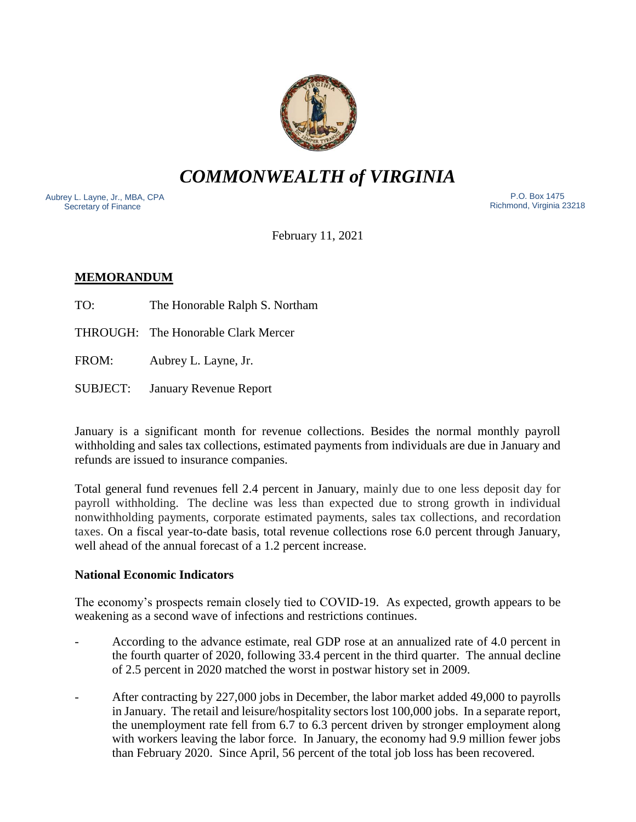

*COMMONWEALTH of VIRGINIA*

Aubrey L. Layne, Jr., MBA, CPA Secretary of Finance

 P.O. Box 1475 Richmond, Virginia 23218

February 11, 2021

# **MEMORANDUM**

TO: The Honorable Ralph S. Northam

THROUGH: The Honorable Clark Mercer

FROM: Aubrey L. Layne, Jr.

SUBJECT: January Revenue Report

January is a significant month for revenue collections. Besides the normal monthly payroll withholding and sales tax collections, estimated payments from individuals are due in January and refunds are issued to insurance companies.

Total general fund revenues fell 2.4 percent in January, mainly due to one less deposit day for payroll withholding. The decline was less than expected due to strong growth in individual nonwithholding payments, corporate estimated payments, sales tax collections, and recordation taxes. On a fiscal year-to-date basis, total revenue collections rose 6.0 percent through January, well ahead of the annual forecast of a 1.2 percent increase.

### **National Economic Indicators**

The economy's prospects remain closely tied to COVID-19. As expected, growth appears to be weakening as a second wave of infections and restrictions continues.

- According to the advance estimate, real GDP rose at an annualized rate of 4.0 percent in the fourth quarter of 2020, following 33.4 percent in the third quarter. The annual decline of 2.5 percent in 2020 matched the worst in postwar history set in 2009.
- After contracting by 227,000 jobs in December, the labor market added 49,000 to payrolls in January. The retail and leisure/hospitality sectors lost 100,000 jobs. In a separate report, the unemployment rate fell from 6.7 to 6.3 percent driven by stronger employment along with workers leaving the labor force. In January, the economy had 9.9 million fewer jobs than February 2020. Since April, 56 percent of the total job loss has been recovered.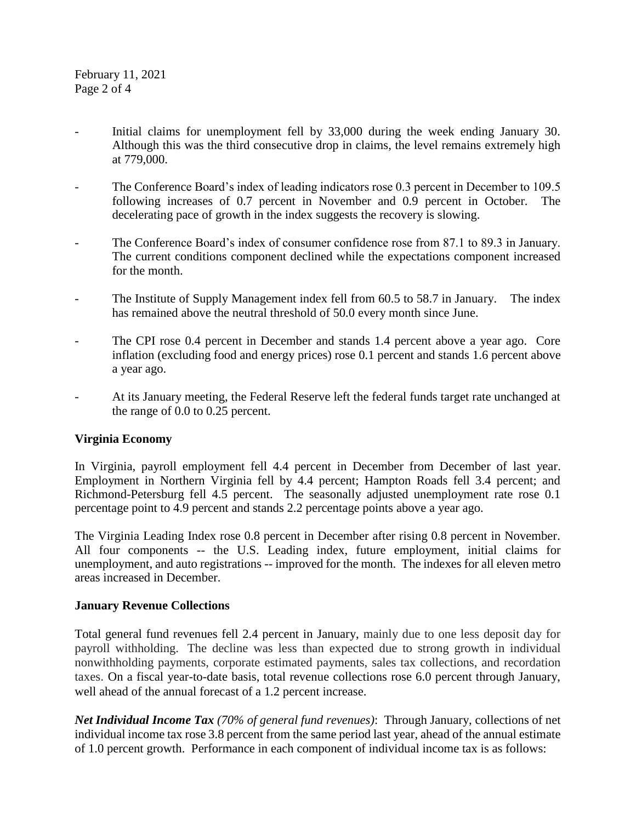- Initial claims for unemployment fell by 33,000 during the week ending January 30. Although this was the third consecutive drop in claims, the level remains extremely high at 779,000.
- The Conference Board's index of leading indicators rose 0.3 percent in December to 109.5 following increases of 0.7 percent in November and 0.9 percent in October. The decelerating pace of growth in the index suggests the recovery is slowing.
- The Conference Board's index of consumer confidence rose from 87.1 to 89.3 in January. The current conditions component declined while the expectations component increased for the month.
- The Institute of Supply Management index fell from 60.5 to 58.7 in January. The index has remained above the neutral threshold of 50.0 every month since June.
- The CPI rose 0.4 percent in December and stands 1.4 percent above a year ago. Core inflation (excluding food and energy prices) rose 0.1 percent and stands 1.6 percent above a year ago.
- At its January meeting, the Federal Reserve left the federal funds target rate unchanged at the range of 0.0 to 0.25 percent.

## **Virginia Economy**

In Virginia, payroll employment fell 4.4 percent in December from December of last year. Employment in Northern Virginia fell by 4.4 percent; Hampton Roads fell 3.4 percent; and Richmond-Petersburg fell 4.5 percent. The seasonally adjusted unemployment rate rose 0.1 percentage point to 4.9 percent and stands 2.2 percentage points above a year ago.

The Virginia Leading Index rose 0.8 percent in December after rising 0.8 percent in November. All four components -- the U.S. Leading index, future employment, initial claims for unemployment, and auto registrations -- improved for the month. The indexes for all eleven metro areas increased in December.

### **January Revenue Collections**

Total general fund revenues fell 2.4 percent in January, mainly due to one less deposit day for payroll withholding. The decline was less than expected due to strong growth in individual nonwithholding payments, corporate estimated payments, sales tax collections, and recordation taxes. On a fiscal year-to-date basis, total revenue collections rose 6.0 percent through January, well ahead of the annual forecast of a 1.2 percent increase.

*Net Individual Income Tax (70% of general fund revenues)*: Through January, collections of net individual income tax rose 3.8 percent from the same period last year, ahead of the annual estimate of 1.0 percent growth. Performance in each component of individual income tax is as follows: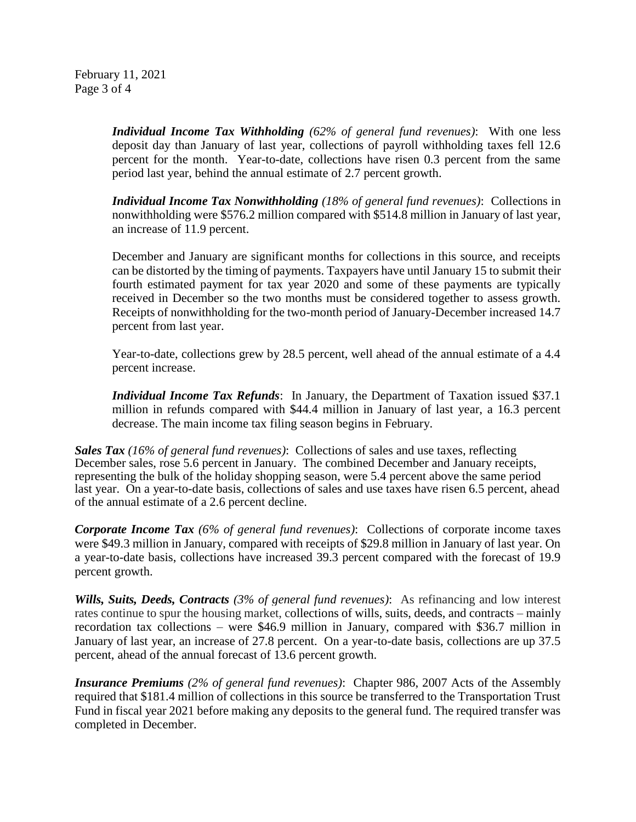February 11, 2021 Page 3 of 4

> *Individual Income Tax Withholding (62% of general fund revenues)*: With one less deposit day than January of last year, collections of payroll withholding taxes fell 12.6 percent for the month. Year-to-date, collections have risen 0.3 percent from the same period last year, behind the annual estimate of 2.7 percent growth.

> *Individual Income Tax Nonwithholding (18% of general fund revenues)*: Collections in nonwithholding were \$576.2 million compared with \$514.8 million in January of last year, an increase of 11.9 percent.

> December and January are significant months for collections in this source, and receipts can be distorted by the timing of payments. Taxpayers have until January 15 to submit their fourth estimated payment for tax year 2020 and some of these payments are typically received in December so the two months must be considered together to assess growth. Receipts of nonwithholding for the two-month period of January-December increased 14.7 percent from last year.

> Year-to-date, collections grew by 28.5 percent, well ahead of the annual estimate of a 4.4 percent increase.

> *Individual Income Tax Refunds*: In January, the Department of Taxation issued \$37.1 million in refunds compared with \$44.4 million in January of last year, a 16.3 percent decrease. The main income tax filing season begins in February.

*Sales Tax (16% of general fund revenues)*: Collections of sales and use taxes, reflecting December sales, rose 5.6 percent in January. The combined December and January receipts, representing the bulk of the holiday shopping season, were 5.4 percent above the same period last year. On a year-to-date basis, collections of sales and use taxes have risen 6.5 percent, ahead of the annual estimate of a 2.6 percent decline.

*Corporate Income Tax (6% of general fund revenues)*: Collections of corporate income taxes were \$49.3 million in January, compared with receipts of \$29.8 million in January of last year. On a year-to-date basis, collections have increased 39.3 percent compared with the forecast of 19.9 percent growth.

*Wills, Suits, Deeds, Contracts (3% of general fund revenues)*: As refinancing and low interest rates continue to spur the housing market, collections of wills, suits, deeds, and contracts – mainly recordation tax collections – were \$46.9 million in January, compared with \$36.7 million in January of last year, an increase of 27.8 percent. On a year-to-date basis, collections are up 37.5 percent, ahead of the annual forecast of 13.6 percent growth.

*Insurance Premiums (2% of general fund revenues)*: Chapter 986, 2007 Acts of the Assembly required that \$181.4 million of collections in this source be transferred to the Transportation Trust Fund in fiscal year 2021 before making any deposits to the general fund. The required transfer was completed in December.